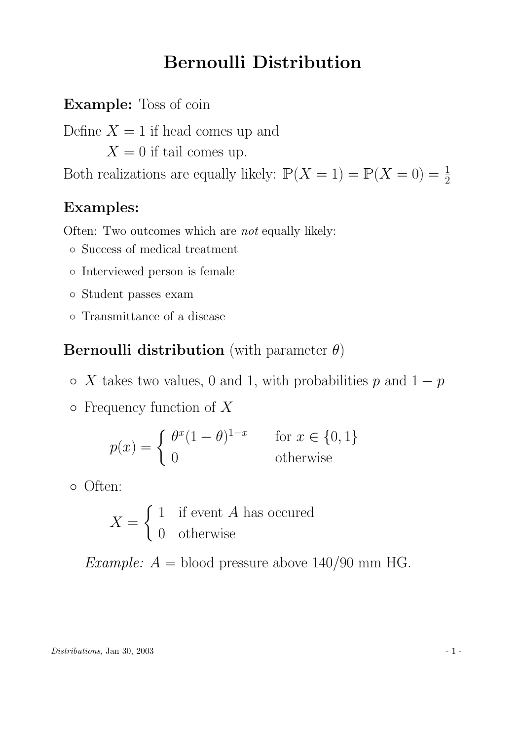### Bernoulli Distribution

Example: Toss of coin

Define  $X = 1$  if head comes up and  $X = 0$  if tail comes up.

Both realizations are equally likely:  $\mathbb{P}(X = 1) = \mathbb{P}(X = 0) = \frac{1}{2}$ 2

#### Examples:

Often: Two outcomes which are not equally likely:

- Success of medical treatment
- Interviewed person is female
- Student passes exam
- Transmittance of a disease

### **Bernoulli distribution** (with parameter  $\theta$ )

- $\circ~ X$  takes two values, 0 and 1, with probabilities  $p$  and  $1-p$
- $\circ$  Frequency function of X

$$
p(x) = \begin{cases} \theta^x (1 - \theta)^{1 - x} & \text{for } x \in \{0, 1\} \\ 0 & \text{otherwise} \end{cases}
$$

◦ Often:

 $X =$  $\int 1$  if event A has occured 0 otherwise

Example:  $A = \text{blood pressure above } 140/90 \text{ mm HG.}$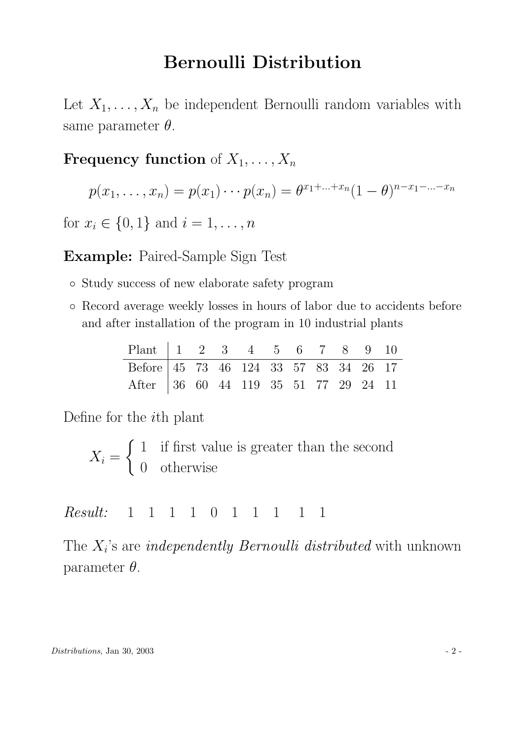### Bernoulli Distribution

Let  $X_1, \ldots, X_n$  be independent Bernoulli random variables with same parameter  $\theta$ .

**Frequency function** of  $X_1, \ldots, X_n$ 

$$
p(x_1,...,x_n) = p(x_1) \cdots p(x_n) = \theta^{x_1+...+x_n} (1-\theta)^{n-x_1-...-x_n}
$$

for  $x_i \in \{0, 1\}$  and  $i = 1, ..., n$ 

Example: Paired-Sample Sign Test

- Study success of new elaborate safety program
- Record average weekly losses in hours of labor due to accidents before and after installation of the program in 10 industrial plants

| Plant $1 \t2 \t3 \t4 \t5 \t6 \t7 \t8 \t9 \t10$ |  |  |  |  |  |
|------------------------------------------------|--|--|--|--|--|
| Before 45 73 46 124 33 57 83 34 26 17          |  |  |  |  |  |
| After 36 60 44 119 35 51 77 29 24 11           |  |  |  |  |  |

Define for the ith plant

$$
X_i = \begin{cases} 1 & \text{if first value is greater than the second} \\ 0 & \text{otherwise} \end{cases}
$$

Result: 1 1 1 1 0 1 1 1 1 1

The  $X_i$ 's are *independently Bernoulli distributed* with unknown parameter  $\theta$ .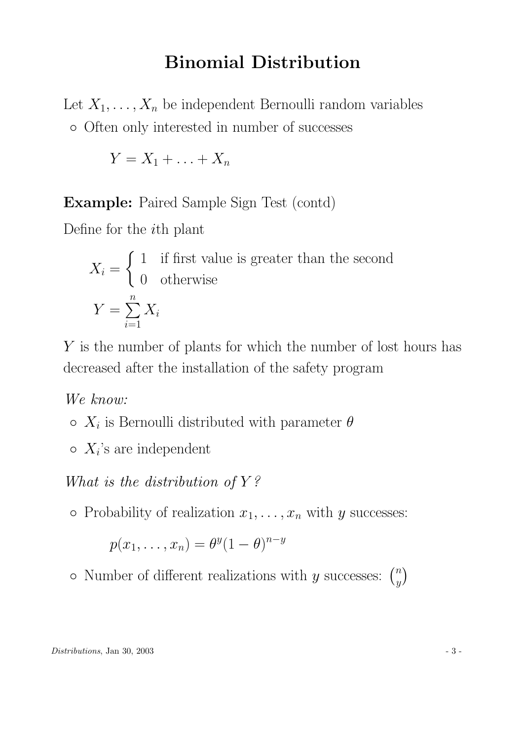### Binomial Distribution

Let  $X_1, \ldots, X_n$  be independent Bernoulli random variables ◦ Often only interested in number of successes

$$
Y = X_1 + \ldots + X_n
$$

Example: Paired Sample Sign Test (contd)

Define for the ith plant

$$
X_i = \begin{cases} 1 & \text{if first value is greater than the second} \\ 0 & \text{otherwise} \end{cases}
$$

$$
Y = \sum_{i=1}^n X_i
$$

Y is the number of plants for which the number of lost hours has decreased after the installation of the safety program

We know:

- $\circ$   $X_i$  is Bernoulli distributed with parameter  $\theta$
- $\circ$   $X_i$ 's are independent

What is the distribution of  $Y$ ?

• Probability of realization  $x_1, \ldots, x_n$  with y successes:

$$
p(x_1,\ldots,x_n)=\theta^y(1-\theta)^{n-y}
$$

• Number of different realizations with  $y$  successes:  $\binom{n}{y}$  $\binom{n}{y}$ 

 $Distributions$ , Jan 30, 2003  $-3$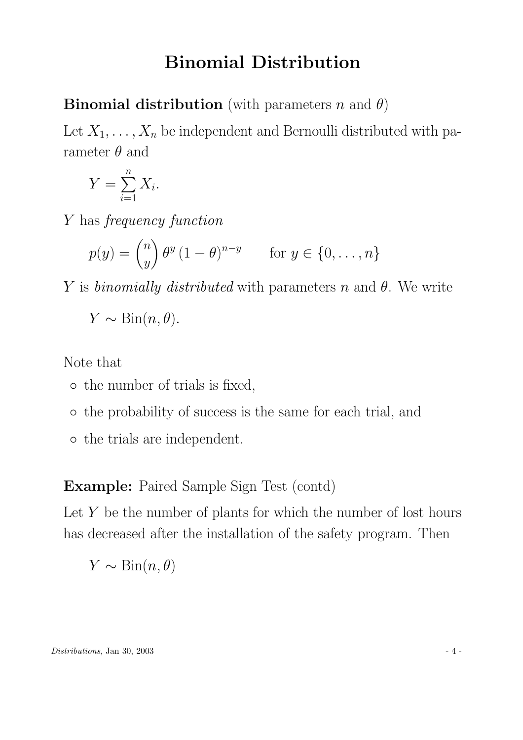### Binomial Distribution

**Binomial distribution** (with parameters n and  $\theta$ )

Let  $X_1, \ldots, X_n$  be independent and Bernoulli distributed with parameter  $\theta$  and

$$
Y = \sum_{i=1}^{n} X_i.
$$

Y has frequency function

$$
p(y) = {n \choose y} \theta^y (1 - \theta)^{n-y} \quad \text{for } y \in \{0, \dots, n\}
$$

Y is binomially distributed with parameters n and  $\theta$ . We write

$$
Y \sim \text{Bin}(n, \theta).
$$

Note that

- the number of trials is fixed,
- the probability of success is the same for each trial, and
- the trials are independent.

Example: Paired Sample Sign Test (contd)

Let  $Y$  be the number of plants for which the number of lost hours has decreased after the installation of the safety program. Then

$$
Y \sim \mathrm{Bin}(n, \theta)
$$

 $Distributions$ , Jan 30, 2003  $-4$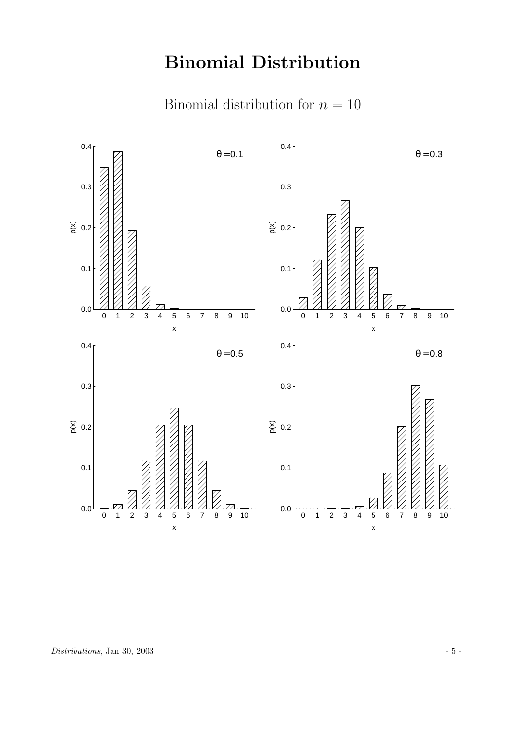# Binomial Distribution

Binomial distribution for  $n = 10$ 



 $Distributions, Jan\ 30, 2003$  - 5 -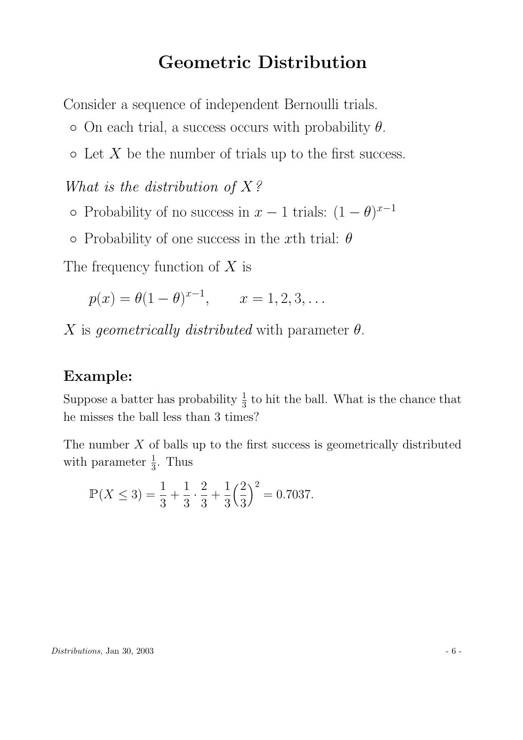#### Geometric Distribution

Consider a sequence of independent Bernoulli trials.

 $\circ$  On each trial, a success occurs with probability  $\theta$ .

 $\circ$  Let X be the number of trials up to the first success.

What is the distribution of  $X$ ?

- Probability of no success in  $x 1$  trials:  $(1 \theta)^{x-1}$
- $\circ$  Probability of one success in the *x*th trial:  $\theta$

The frequency function of  $X$  is

 $p(x) = \theta(1-\theta)^{x-1}, \quad x = 1, 2, 3, \dots$ 

X is geometrically distributed with parameter  $\theta$ .

#### Example:

Suppose a batter has probability  $\frac{1}{3}$  $\frac{1}{3}$  to hit the ball. What is the chance that he misses the ball less than 3 times?

The number  $X$  of balls up to the first success is geometrically distributed with parameter  $\frac{1}{3}$ . Thus

$$
\mathbb{P}(X \le 3) = \frac{1}{3} + \frac{1}{3} \cdot \frac{2}{3} + \frac{1}{3} \left(\frac{2}{3}\right)^2 = 0.7037.
$$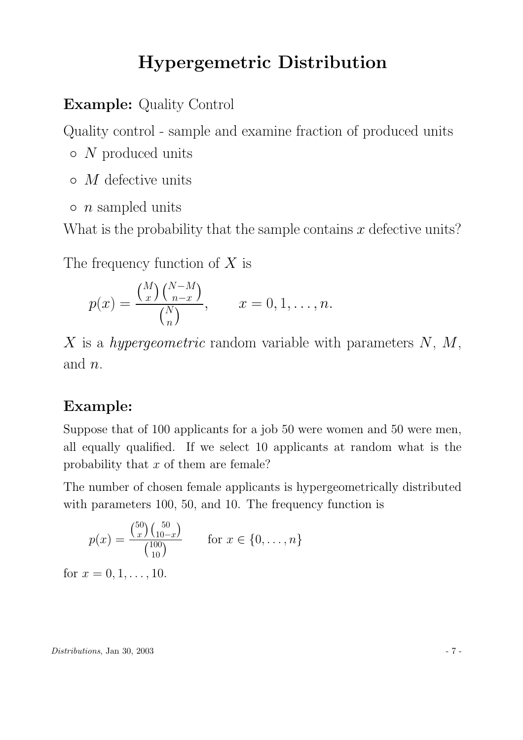### Hypergemetric Distribution

#### Example: Quality Control

Quality control - sample and examine fraction of produced units

- $\circ$  N produced units
- $\circ$  *M* defective units
- $\circ$  *n* sampled units

What is the probability that the sample contains  $x$  defective units?

The frequency function of  $X$  is

$$
p(x) = \frac{\binom{M}{x} \binom{N-M}{n-x}}{\binom{N}{n}}, \qquad x = 0, 1, \dots, n.
$$

X is a *hypergeometric* random variable with parameters  $N$ ,  $M$ , and n.

#### Example:

Suppose that of 100 applicants for a job 50 were women and 50 were men, all equally qualified. If we select 10 applicants at random what is the probability that x of them are female?

The number of chosen female applicants is hypergeometrically distributed with parameters 100, 50, and 10. The frequency function is

$$
p(x) = \frac{\binom{50}{x}\binom{50}{10-x}}{\binom{100}{10}}
$$
 for  $x \in \{0, \dots, n\}$ 

for  $x = 0, 1, \ldots, 10$ .

 $Distributions$ , Jan 30, 2003  $-7$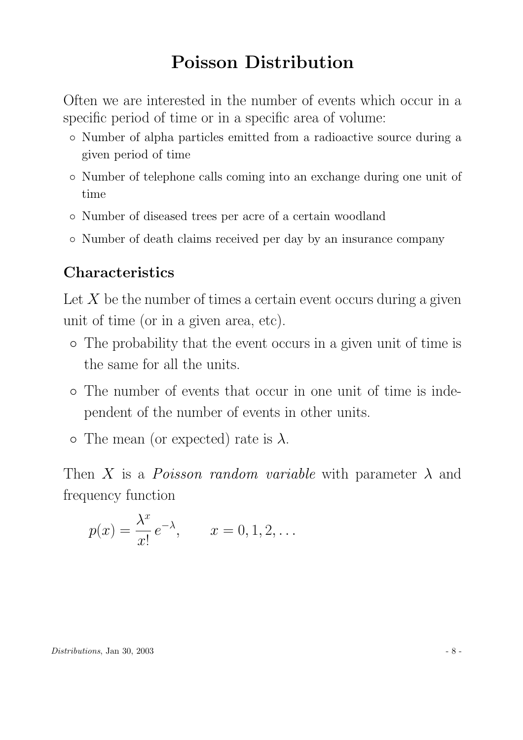## Poisson Distribution

Often we are interested in the number of events which occur in a specific period of time or in a specific area of volume:

- Number of alpha particles emitted from a radioactive source during a given period of time
- Number of telephone calls coming into an exchange during one unit of time
- Number of diseased trees per acre of a certain woodland
- Number of death claims received per day by an insurance company

#### Characteristics

Let  $X$  be the number of times a certain event occurs during a given unit of time (or in a given area, etc).

- The probability that the event occurs in a given unit of time is the same for all the units.
- The number of events that occur in one unit of time is independent of the number of events in other units.
- $\circ$  The mean (or expected) rate is  $\lambda$ .

Then X is a *Poisson random variable* with parameter  $\lambda$  and frequency function

$$
p(x) = \frac{\lambda^x}{x!} e^{-\lambda}, \qquad x = 0, 1, 2, \dots
$$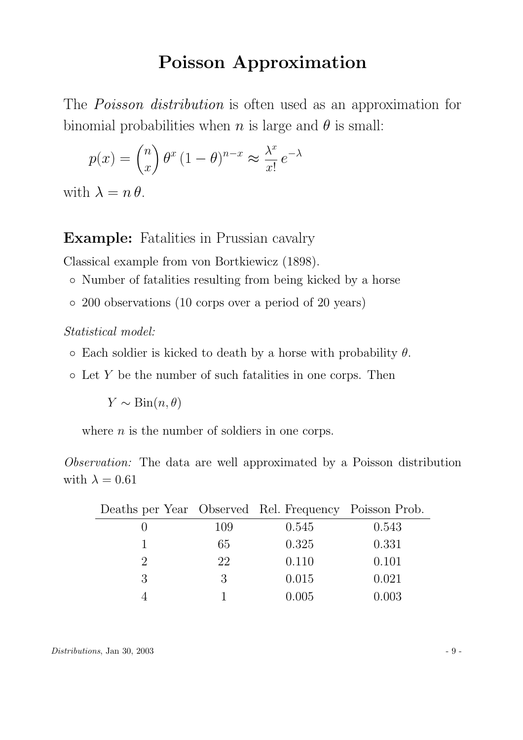#### Poisson Approximation

The *Poisson distribution* is often used as an approximation for binomial probabilities when *n* is large and  $\theta$  is small:

$$
p(x) = {n \choose x} \theta^x (1 - \theta)^{n - x} \approx \frac{\lambda^x}{x!} e^{-\lambda}
$$

with  $\lambda = n \theta$ .

Example: Fatalities in Prussian cavalry

Classical example from von Bortkiewicz (1898).

◦ Number of fatalities resulting from being kicked by a horse

◦ 200 observations (10 corps over a period of 20 years)

Statistical model:

- $\circ$  Each soldier is kicked to death by a horse with probability  $\theta$ .
- Let Y be the number of such fatalities in one corps. Then

 $Y \sim \text{Bin}(n, \theta)$ 

where  $n$  is the number of soldiers in one corps.

Observation: The data are well approximated by a Poisson distribution with  $\lambda = 0.61$ 

| Deaths per Year Observed Rel. Frequency Poisson Prob. |     |       |       |
|-------------------------------------------------------|-----|-------|-------|
|                                                       | 109 | 0.545 | 0.543 |
|                                                       | 65  | 0.325 | 0.331 |
| 2                                                     | 22  | 0.110 | 0.101 |
| 3                                                     | 3   | 0.015 | 0.021 |
|                                                       |     | 0.005 | 0.003 |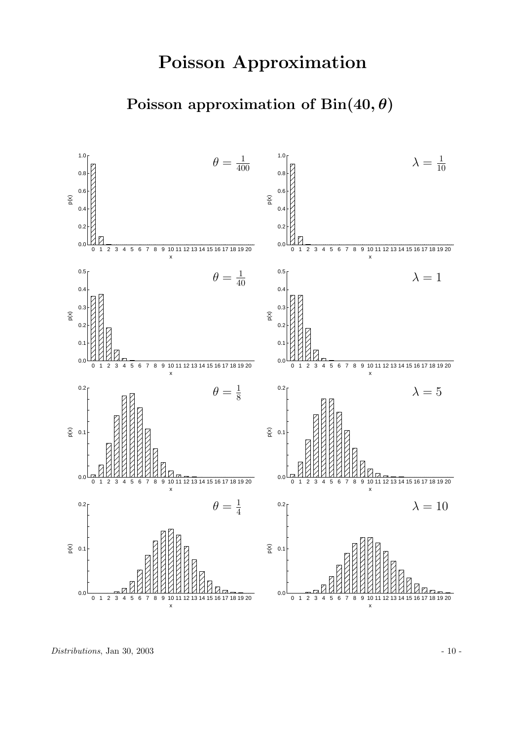# Poisson approximation of  $Bin(40, \theta)$



 $Distributions, Jan\ 30, 2003$  - 10 -